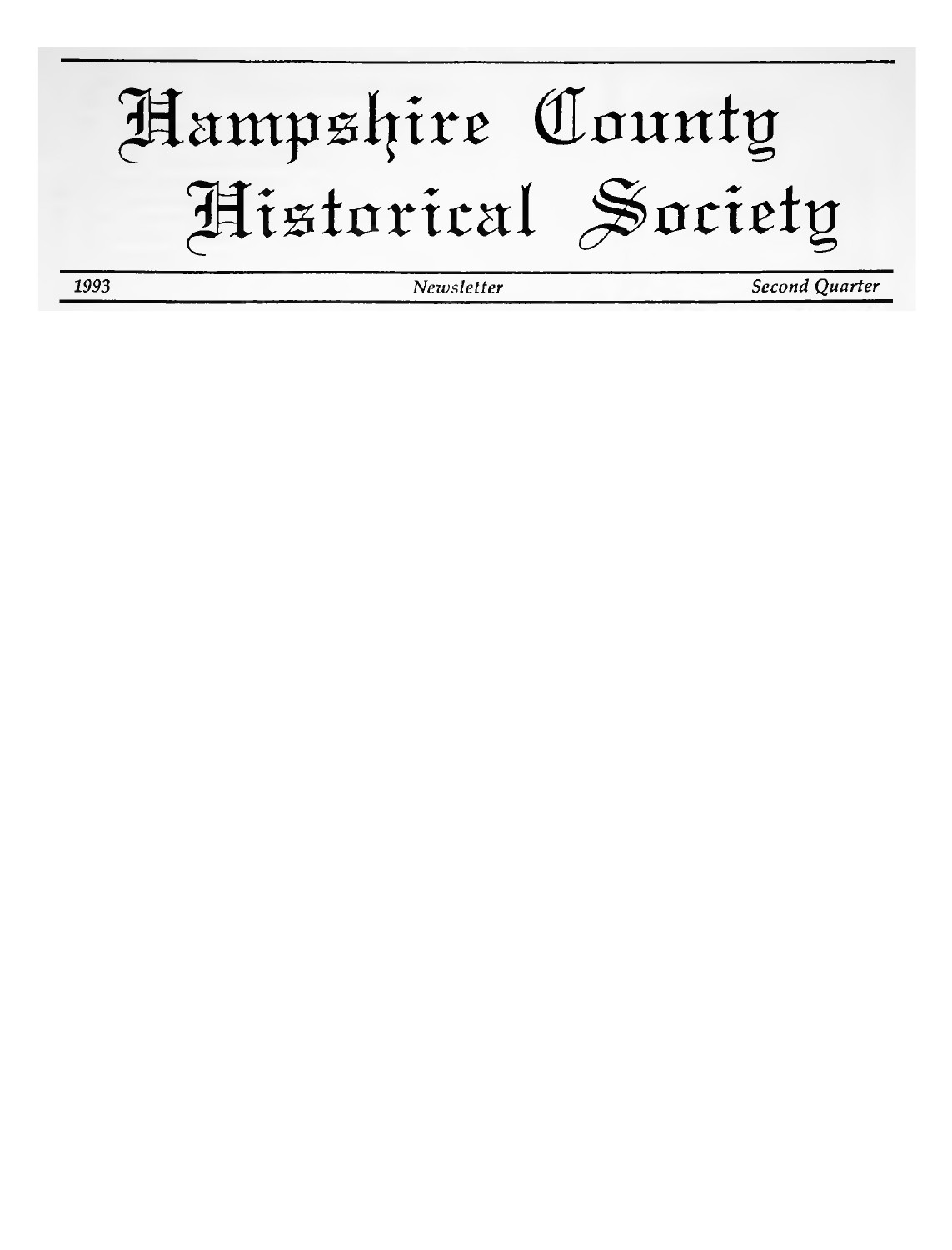Hampshire County Historical Society 1993 Second Quarter Newsletter